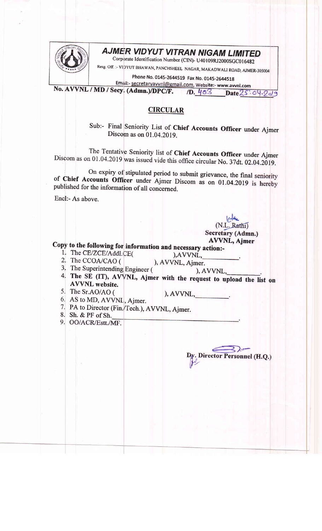

## **AJMER VIDYUT VITRAN NIGAM LIMITED**

Corporate Identification Number (CIN)- U40109RJ2000SGC016482

Resg. Off. :- VIDYUT BHAWAN, PANCHSHEEL NAGAR, MAKADWALI ROAD, AJMER-305004

Phone No. 0145-2644519 Fax No. 0145-2644518

Email:- secretaryavvnl@gmail.com, Website:- www.avvnl.com No. AVVNL / MD / Secy. (Admn.)/DPC/F.  $/D.403$  $Date25.04.209$ 

## **CIRCULAR**

Sub:- Final Seniority List of Chief Accounts Officer under Ajmer Discom as on 01.04.2019.

The Tentative Seniority list of Chief Accounts Officer under Ajmer Discom as on 01.04.2019 was issued vide this office circular No. 37dt. 02.04.2019.

On expiry of stipulated period to submit grievance, the final seniority of Chief Accounts Officer under Ajmer Discom as on 01.04.2019 is hereby published for the information of all concerned.

Encl:- As above.

(N.L. Rathi) Secretary (Admn.) **AVVNL, Ajmer** 

Dy. Director Personnel (H.Q.)

Copy to the following for information and necessary action:-

- 1. The CE/ZCE/Addl.CE( 2. The CCOA/CAO (
- ), AVVNL, ), AVVNL, Ajmer.
- 3. The Superintending Engineer (
- ), AVVNL, 4. The SE (IT), AVVNL, Ajmer with the request to upload the list on **AVVNL** website.
- 5. The Sr.AO/AO (

- 6. AS to MD, AVVNL, Ajmer.
- 7. PA to Director (Fin./Tech.), AVVNL, Ajmer.
- 8. Sh. & PF of Sh.
- 9. OO/ACR/Estt./MF.